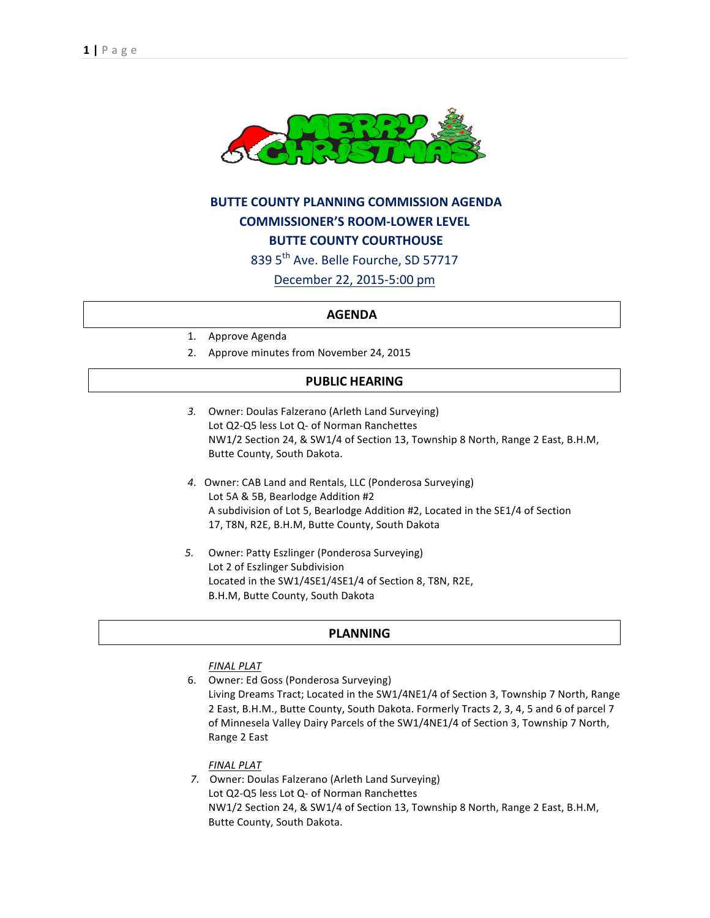

# **BUTTE COUNTY PLANNING COMMISSION AGENDA COMMISSIONER'S ROOM-LOWER LEVEL BUTTE COUNTY COURTHOUSE** 839 5<sup>th</sup> Ave. Belle Fourche, SD 57717

December 22, 2015-5:00 pm

#### **AGENDA**

- 1. Approve Agenda
- 2. Approve minutes from November 24, 2015

## **PUBLIC HEARING**

- 3. Owner: Doulas Falzerano (Arleth Land Surveying) Lot Q2-Q5 less Lot Q- of Norman Ranchettes NW1/2 Section 24, & SW1/4 of Section 13, Township 8 North, Range 2 East, B.H.M, Butte County, South Dakota.
- 4. Owner: CAB Land and Rentals, LLC (Ponderosa Surveying) Lot 5A & 5B, Bearlodge Addition #2 A subdivision of Lot 5, Bearlodge Addition #2, Located in the SE1/4 of Section 17, T8N, R2E, B.H.M, Butte County, South Dakota
- 5. Owner: Patty Eszlinger (Ponderosa Surveying) Lot 2 of Eszlinger Subdivision Located in the SW1/4SE1/4SE1/4 of Section 8, T8N, R2E, B.H.M, Butte County, South Dakota

### **PLANNING**

#### *FINAL PLAT*

6. Owner: Ed Goss (Ponderosa Surveying) Living Dreams Tract; Located in the SW1/4NE1/4 of Section 3, Township 7 North, Range 2 East, B.H.M., Butte County, South Dakota. Formerly Tracts 2, 3, 4, 5 and 6 of parcel 7 of Minnesela Valley Dairy Parcels of the SW1/4NE1/4 of Section 3, Township 7 North, Range 2 East

#### *FINAL PLAT*

7. Owner: Doulas Falzerano (Arleth Land Surveying) Lot Q2-Q5 less Lot Q- of Norman Ranchettes NW1/2 Section 24, & SW1/4 of Section 13, Township 8 North, Range 2 East, B.H.M, Butte County, South Dakota.